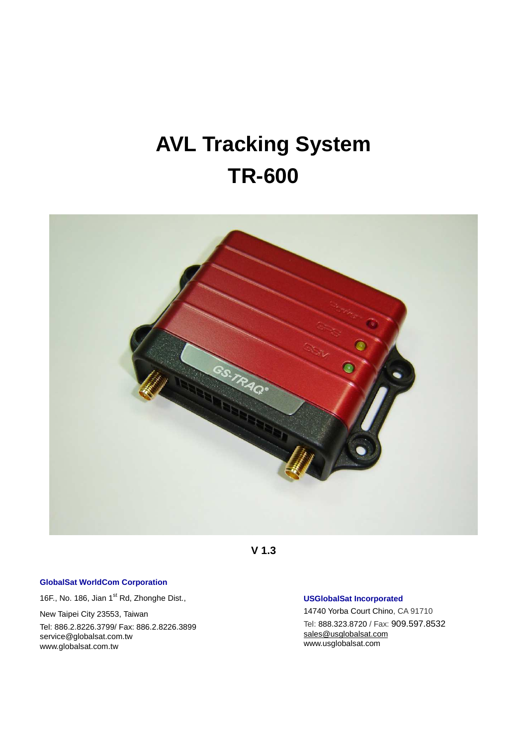# **AVL Tracking System TR-600**



**V 1.3** 

#### **GlobalSat WorldCom Corporation**

16F., No. 186, Jian 1<sup>st</sup> Rd, Zhonghe Dist.,

New Taipei City 23553, Taiwan Tel: 886.2.8226.3799/ Fax: 886.2.8226.3899 service@globalsat.com.tw

www.globalsat.com.tw

#### **USGlobalSat Incorporated**

14740 Yorba Court Chino, CA 91710 Tel: 888.323.8720 / Fax: 909.597.8532 sales@usglobalsat.com www.usglobalsat.com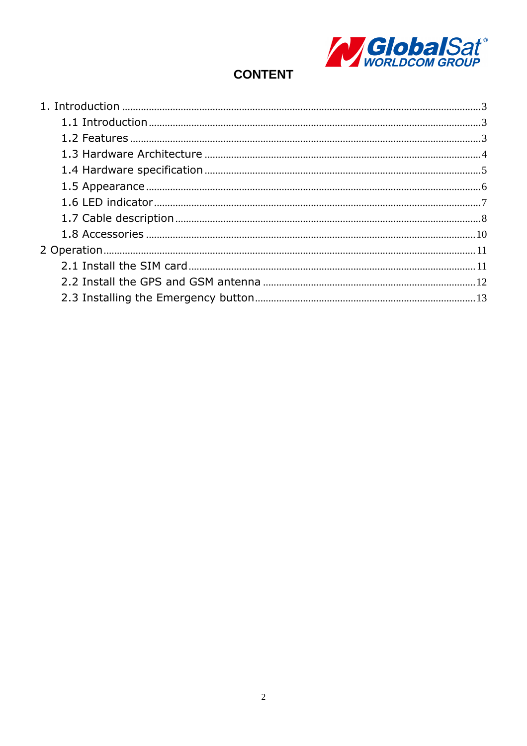

# **CONTENT**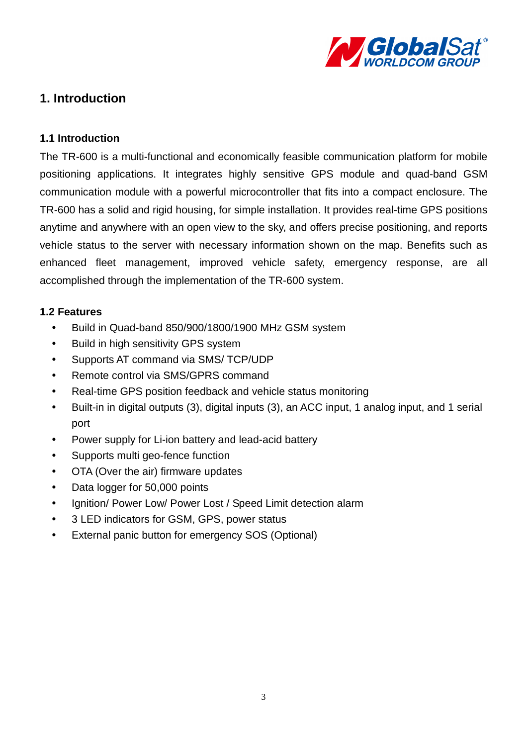

# **1. Introduction**

#### **1.1 Introduction**

The TR-600 is a multi-functional and economically feasible communication platform for mobile positioning applications. It integrates highly sensitive GPS module and quad-band GSM communication module with a powerful microcontroller that fits into a compact enclosure. The TR-600 has a solid and rigid housing, for simple installation. It provides real-time GPS positions anytime and anywhere with an open view to the sky, and offers precise positioning, and reports vehicle status to the server with necessary information shown on the map. Benefits such as enhanced fleet management, improved vehicle safety, emergency response, are all accomplished through the implementation of the TR-600 system.

#### **1.2 Features**

- Build in Quad-band 850/900/1800/1900 MHz GSM system
- Build in high sensitivity GPS system
- Supports AT command via SMS/ TCP/UDP
- Remote control via SMS/GPRS command
- Real-time GPS position feedback and vehicle status monitoring
- Built-in in digital outputs (3), digital inputs (3), an ACC input, 1 analog input, and 1 serial port
- Power supply for Li-ion battery and lead-acid battery
- Supports multi geo-fence function
- OTA (Over the air) firmware updates
- Data logger for 50,000 points
- Ignition/ Power Low/ Power Lost / Speed Limit detection alarm
- 3 LED indicators for GSM, GPS, power status
- External panic button for emergency SOS (Optional)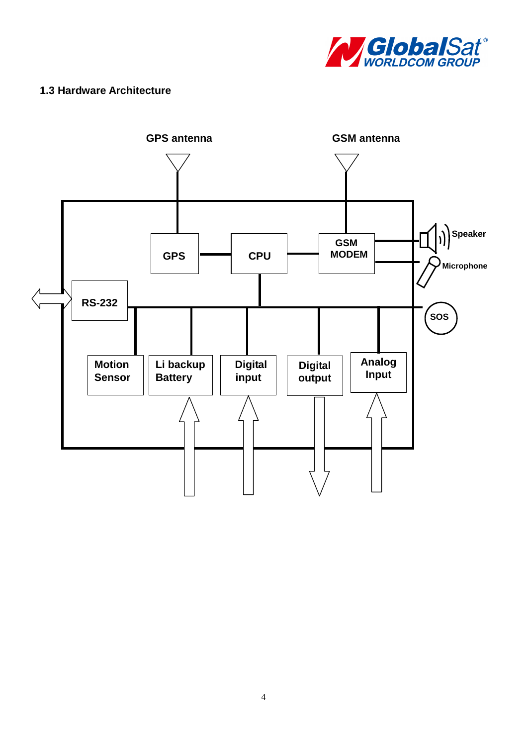

#### **1.3 Hardware Architecture**

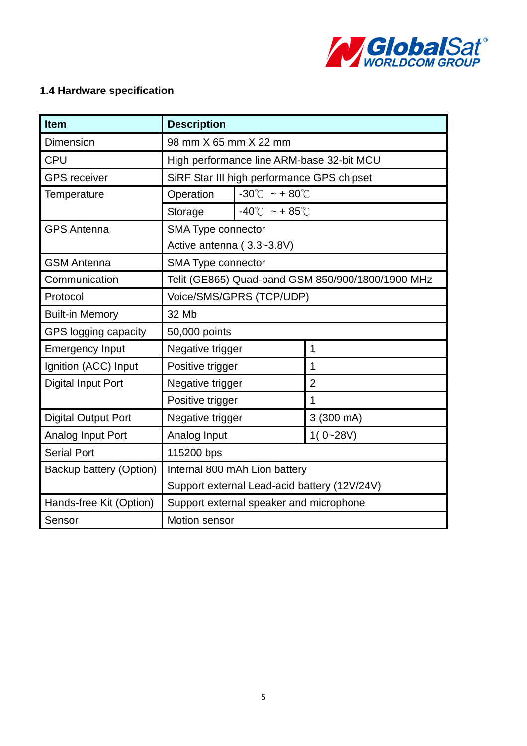

# **1.4 Hardware specification**

| <b>Item</b>                | <b>Description</b>                                |                                            |                |
|----------------------------|---------------------------------------------------|--------------------------------------------|----------------|
| Dimension                  | 98 mm X 65 mm X 22 mm                             |                                            |                |
| <b>CPU</b>                 | High performance line ARM-base 32-bit MCU         |                                            |                |
| <b>GPS</b> receiver        |                                                   | SiRF Star III high performance GPS chipset |                |
| Temperature                | $-30^{\circ}$ C ~ + 80 $^{\circ}$ C<br>Operation  |                                            |                |
|                            | Storage                                           | $-40^{\circ}$ C ~ + 85 $^{\circ}$ C        |                |
| <b>GPS Antenna</b>         | SMA Type connector                                |                                            |                |
|                            | Active antenna (3.3~3.8V)                         |                                            |                |
| <b>GSM Antenna</b>         | <b>SMA Type connector</b>                         |                                            |                |
| Communication              | Telit (GE865) Quad-band GSM 850/900/1800/1900 MHz |                                            |                |
| Protocol                   | Voice/SMS/GPRS (TCP/UDP)                          |                                            |                |
| <b>Built-in Memory</b>     | 32 Mb                                             |                                            |                |
| GPS logging capacity       | 50,000 points                                     |                                            |                |
| <b>Emergency Input</b>     | Negative trigger                                  |                                            | 1              |
| Ignition (ACC) Input       | Positive trigger                                  |                                            | 1              |
| <b>Digital Input Port</b>  | Negative trigger                                  |                                            | $\overline{2}$ |
|                            | Positive trigger                                  |                                            | 1              |
| <b>Digital Output Port</b> | Negative trigger                                  |                                            | 3 (300 mA)     |
| Analog Input Port          | Analog Input                                      |                                            | $1(0-28V)$     |
| <b>Serial Port</b>         | 115200 bps                                        |                                            |                |
| Backup battery (Option)    | Internal 800 mAh Lion battery                     |                                            |                |
|                            | Support external Lead-acid battery (12V/24V)      |                                            |                |
| Hands-free Kit (Option)    | Support external speaker and microphone           |                                            |                |
| Sensor                     | <b>Motion sensor</b>                              |                                            |                |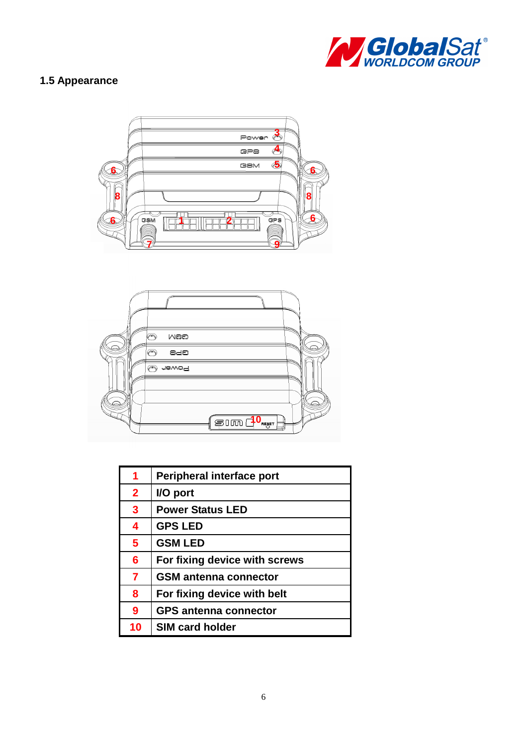

# **1.5 Appearance**





| 1                       | Peripheral interface port     |
|-------------------------|-------------------------------|
| $\mathbf{2}$            | I/O port                      |
| $\overline{\mathbf{3}}$ | <b>Power Status LED</b>       |
| 4                       | <b>GPS LED</b>                |
| 5                       | <b>GSM LED</b>                |
| 6                       | For fixing device with screws |
| $\overline{7}$          | <b>GSM antenna connector</b>  |
| 8                       | For fixing device with belt   |
| 9                       | <b>GPS antenna connector</b>  |
| 10                      | <b>SIM card holder</b>        |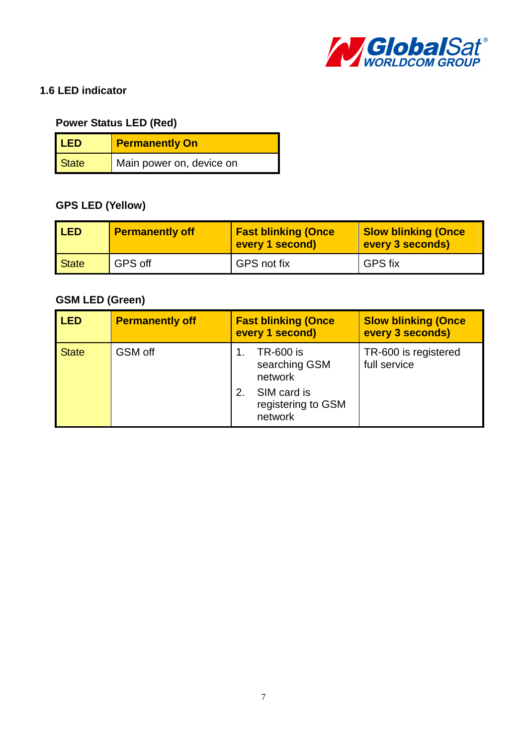

#### **1.6 LED indicator**

# **Power Status LED (Red)**

| LED <sup></sup> | <b>Permanently On</b>    |
|-----------------|--------------------------|
| State           | Main power on, device on |

# **GPS LED (Yellow)**

| LED <sub>1</sub> | <b>Permanently off</b> | <b>Fast blinking (Once</b><br>every 1 second) | <b>Slow blinking (Once</b><br>every 3 seconds) |
|------------------|------------------------|-----------------------------------------------|------------------------------------------------|
| State            | GPS off                | GPS not fix                                   | <b>GPS</b> fix                                 |

# **GSM LED (Green)**

| <b>LED</b>   | <b>Permanently off</b> | <b>Fast blinking (Once</b><br>every 1 second) | <b>Slow blinking (Once</b><br>every 3 seconds) |
|--------------|------------------------|-----------------------------------------------|------------------------------------------------|
| <b>State</b> | GSM off                | TR-600 is<br>searching GSM<br>network         | TR-600 is registered<br>full service           |
|              |                        | SIM card is<br>registering to GSM<br>network  |                                                |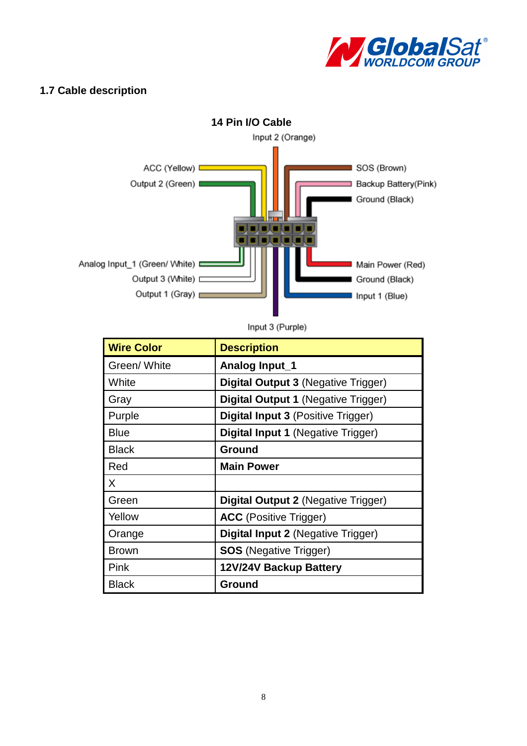

# **1.7 Cable description**



Input 3 (Purple)

| <b>Wire Color</b> | <b>Description</b>                         |
|-------------------|--------------------------------------------|
| Green/ White      | Analog Input_1                             |
| White             | <b>Digital Output 3 (Negative Trigger)</b> |
| Gray              | <b>Digital Output 1 (Negative Trigger)</b> |
| Purple            | <b>Digital Input 3 (Positive Trigger)</b>  |
| <b>Blue</b>       | Digital Input 1 (Negative Trigger)         |
| <b>Black</b>      | Ground                                     |
| Red               | <b>Main Power</b>                          |
| X                 |                                            |
| Green             | <b>Digital Output 2 (Negative Trigger)</b> |
| Yellow            | <b>ACC</b> (Positive Trigger)              |
| Orange            | <b>Digital Input 2 (Negative Trigger)</b>  |
| <b>Brown</b>      | <b>SOS</b> (Negative Trigger)              |
| Pink              | 12V/24V Backup Battery                     |
| <b>Black</b>      | Ground                                     |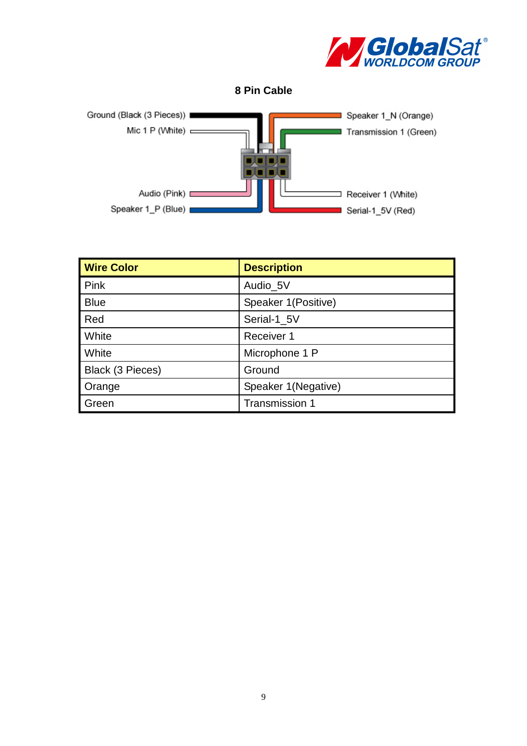

## **8 Pin Cable**



| <b>Wire Color</b> | <b>Description</b>  |
|-------------------|---------------------|
| Pink              | Audio_5V            |
| <b>Blue</b>       | Speaker 1(Positive) |
| Red               | Serial-1 5V         |
| White             | Receiver 1          |
| White             | Microphone 1 P      |
| Black (3 Pieces)  | Ground              |
| Orange            | Speaker 1(Negative) |
| Green             | Transmission 1      |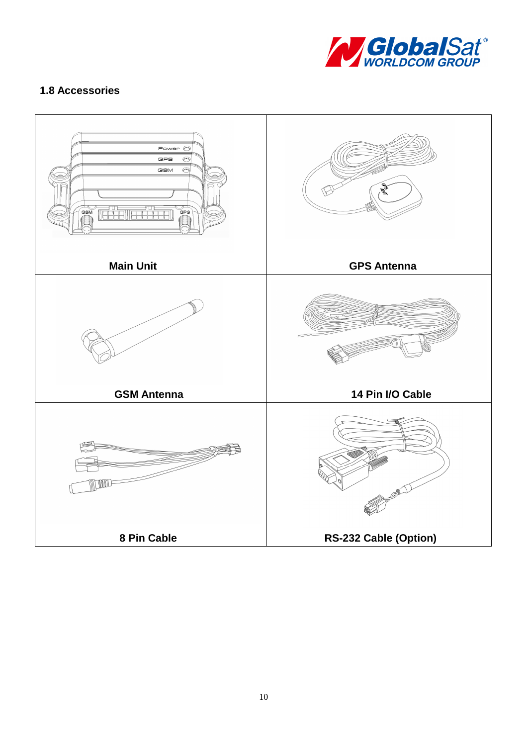

# **1.8 Accessories**

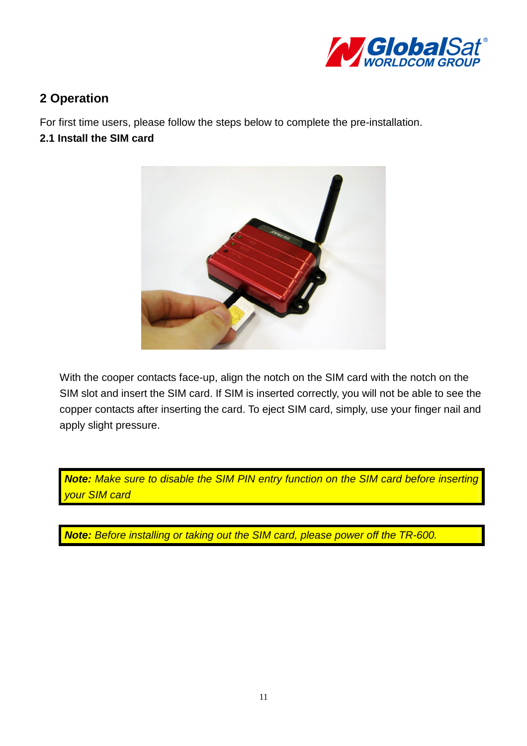

# **2 Operation**

For first time users, please follow the steps below to complete the pre-installation.

# **2.1 Install the SIM card**



With the cooper contacts face-up, align the notch on the SIM card with the notch on the SIM slot and insert the SIM card. If SIM is inserted correctly, you will not be able to see the copper contacts after inserting the card. To eject SIM card, simply, use your finger nail and apply slight pressure.

**Note:** Make sure to disable the SIM PIN entry function on the SIM card before inserting your SIM card

**Note:** Before installing or taking out the SIM card, please power off the TR-600.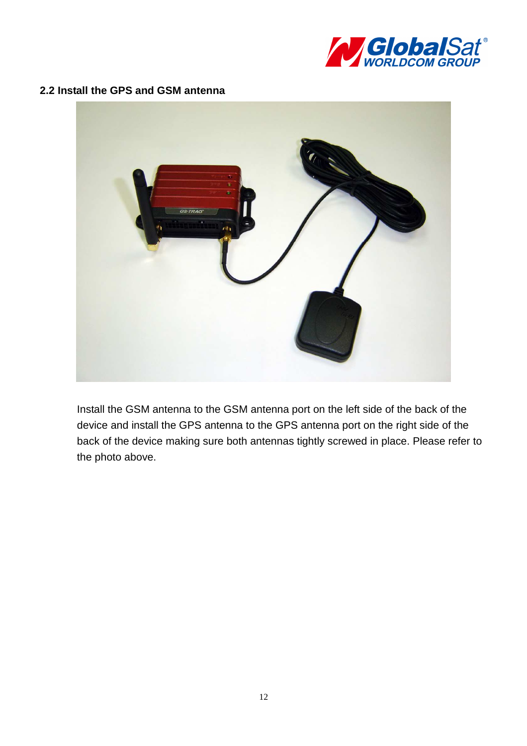

#### **2.2 Install the GPS and GSM antenna**



Install the GSM antenna to the GSM antenna port on the left side of the back of the device and install the GPS antenna to the GPS antenna port on the right side of the back of the device making sure both antennas tightly screwed in place. Please refer to the photo above.